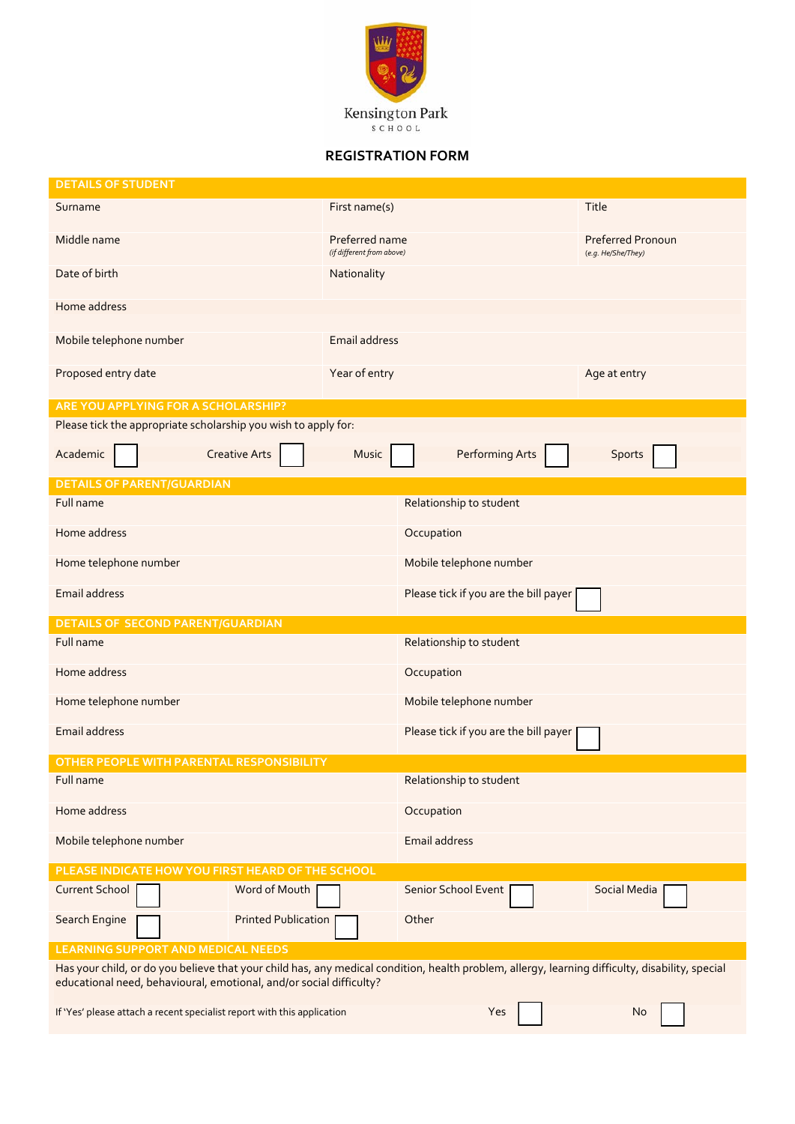

## **REGISTRATION FORM**

| <b>DETAILS OF STUDENT</b>                                                                                                                                                                                              |                                             |                                       |                                                |  |  |  |  |
|------------------------------------------------------------------------------------------------------------------------------------------------------------------------------------------------------------------------|---------------------------------------------|---------------------------------------|------------------------------------------------|--|--|--|--|
| Surname                                                                                                                                                                                                                | First name(s)                               |                                       | Title                                          |  |  |  |  |
| Middle name                                                                                                                                                                                                            | Preferred name<br>(if different from above) |                                       | <b>Preferred Pronoun</b><br>(e.g. He/She/They) |  |  |  |  |
| Date of birth                                                                                                                                                                                                          | Nationality                                 |                                       |                                                |  |  |  |  |
| Home address                                                                                                                                                                                                           |                                             |                                       |                                                |  |  |  |  |
| Mobile telephone number                                                                                                                                                                                                | <b>Email address</b>                        |                                       |                                                |  |  |  |  |
| Proposed entry date                                                                                                                                                                                                    | Year of entry                               |                                       | Age at entry                                   |  |  |  |  |
| ARE YOU APPLYING FOR A SCHOLARSHIP?                                                                                                                                                                                    |                                             |                                       |                                                |  |  |  |  |
| Please tick the appropriate scholarship you wish to apply for:                                                                                                                                                         |                                             |                                       |                                                |  |  |  |  |
| Academic<br><b>Creative Arts</b>                                                                                                                                                                                       | Music                                       | <b>Performing Arts</b>                | Sports                                         |  |  |  |  |
| <b>DETAILS OF PARENT/GUARDIAN</b>                                                                                                                                                                                      |                                             |                                       |                                                |  |  |  |  |
| Full name                                                                                                                                                                                                              |                                             | Relationship to student               |                                                |  |  |  |  |
| Home address                                                                                                                                                                                                           |                                             | Occupation                            |                                                |  |  |  |  |
| Home telephone number                                                                                                                                                                                                  |                                             | Mobile telephone number               |                                                |  |  |  |  |
| Email address                                                                                                                                                                                                          |                                             | Please tick if you are the bill payer |                                                |  |  |  |  |
| <b>DETAILS OF SECOND PARENT/GUARDIAN</b>                                                                                                                                                                               |                                             |                                       |                                                |  |  |  |  |
| Full name                                                                                                                                                                                                              |                                             | Relationship to student               |                                                |  |  |  |  |
| Home address                                                                                                                                                                                                           |                                             | Occupation                            |                                                |  |  |  |  |
| Home telephone number                                                                                                                                                                                                  |                                             | Mobile telephone number               |                                                |  |  |  |  |
| <b>Email address</b>                                                                                                                                                                                                   |                                             | Please tick if you are the bill payer |                                                |  |  |  |  |
| OTHER PEOPLE WITH PARENTAL RESPONSIBILITY                                                                                                                                                                              |                                             |                                       |                                                |  |  |  |  |
| Full name                                                                                                                                                                                                              |                                             | Relationship to student               |                                                |  |  |  |  |
| Home address                                                                                                                                                                                                           |                                             | Occupation                            |                                                |  |  |  |  |
| Mobile telephone number                                                                                                                                                                                                |                                             | Email address                         |                                                |  |  |  |  |
| PLEASE INDICATE HOW YOU FIRST HEARD OF THE SCHOOL                                                                                                                                                                      |                                             |                                       |                                                |  |  |  |  |
| Word of Mouth<br><b>Current School</b>                                                                                                                                                                                 |                                             | Senior School Event                   | Social Media                                   |  |  |  |  |
| <b>Printed Publication</b><br>Search Engine                                                                                                                                                                            |                                             | Other                                 |                                                |  |  |  |  |
| <b>LEARNING SUPPORT AND MEDICAL NEEDS</b>                                                                                                                                                                              |                                             |                                       |                                                |  |  |  |  |
| Has your child, or do you believe that your child has, any medical condition, health problem, allergy, learning difficulty, disability, special<br>educational need, behavioural, emotional, and/or social difficulty? |                                             |                                       |                                                |  |  |  |  |
| If 'Yes' please attach a recent specialist report with this application                                                                                                                                                | Yes                                         | No                                    |                                                |  |  |  |  |